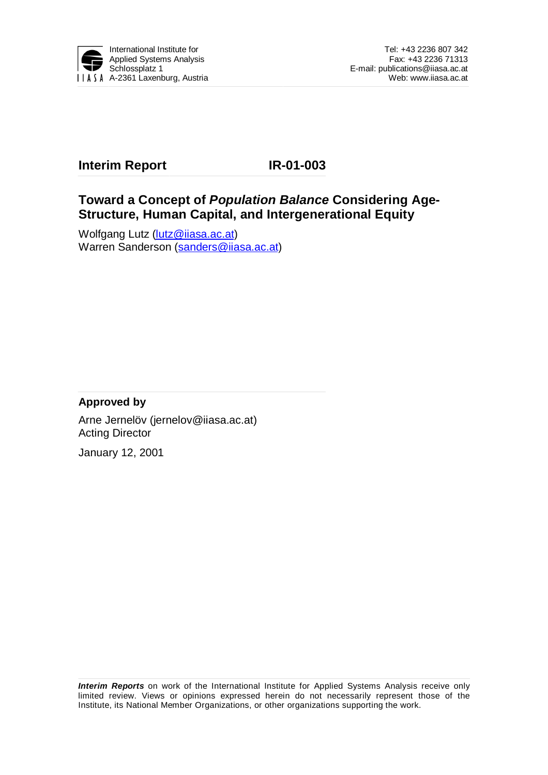

# **Interim Report IR-01-003**

**Toward a Concept of** *Population Balance* **Considering Age-Structure, Human Capital, and Intergenerational Equity**

Wolfgang Lutz (lutz@iiasa.ac.at) Warren Sanderson (sanders@iiasa.ac.at)

### **Approved by**

Arne Jernelöv (jernelov@iiasa.ac.at) Acting Director

January 12, 2001

*Interim Reports* on work of the International Institute for Applied Systems Analysis receive only limited review. Views or opinions expressed herein do not necessarily represent those of the Institute, its National Member Organizations, or other organizations supporting the work.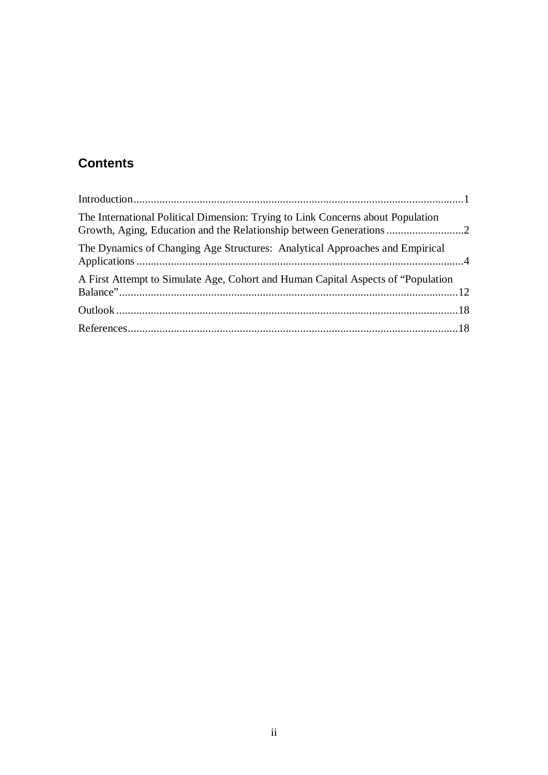# **Contents**

| The International Political Dimension: Trying to Link Concerns about Population<br>Growth, Aging, Education and the Relationship between Generations |  |
|------------------------------------------------------------------------------------------------------------------------------------------------------|--|
| The Dynamics of Changing Age Structures: Analytical Approaches and Empirical                                                                         |  |
| A First Attempt to Simulate Age, Cohort and Human Capital Aspects of "Population"                                                                    |  |
|                                                                                                                                                      |  |
|                                                                                                                                                      |  |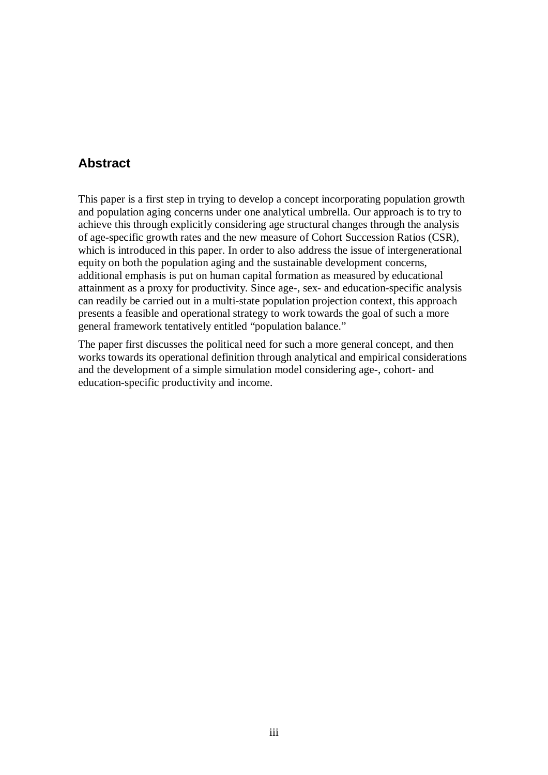# **Abstract**

This paper is a first step in trying to develop a concept incorporating population growth and population aging concerns under one analytical umbrella. Our approach is to try to achieve this through explicitly considering age structural changes through the analysis of age-specific growth rates and the new measure of Cohort Succession Ratios (CSR), which is introduced in this paper. In order to also address the issue of intergenerational equity on both the population aging and the sustainable development concerns, additional emphasis is put on human capital formation as measured by educational attainment as a proxy for productivity. Since age-, sex- and education-specific analysis can readily be carried out in a multi-state population projection context, this approach presents a feasible and operational strategy to work towards the goal of such a more general framework tentatively entitled "population balance."

The paper first discusses the political need for such a more general concept, and then works towards its operational definition through analytical and empirical considerations and the development of a simple simulation model considering age-, cohort- and education-specific productivity and income.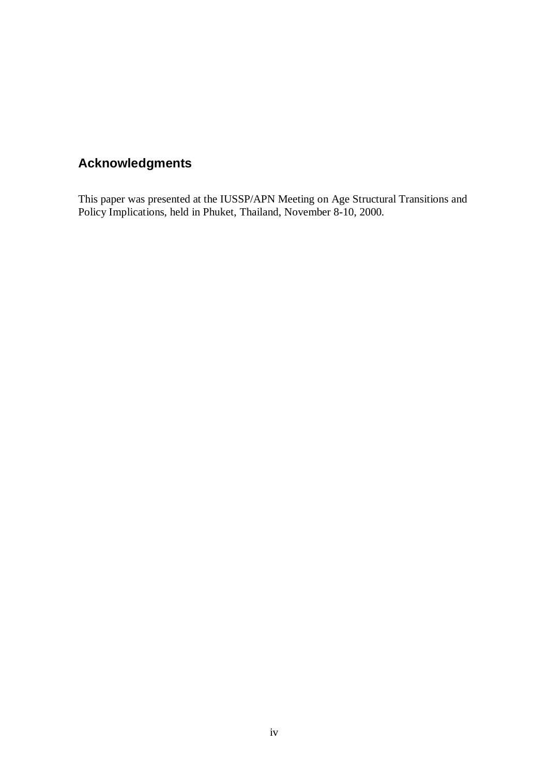# **Acknowledgments**

This paper was presented at the IUSSP/APN Meeting on Age Structural Transitions and Policy Implications, held in Phuket, Thailand, November 8-10, 2000.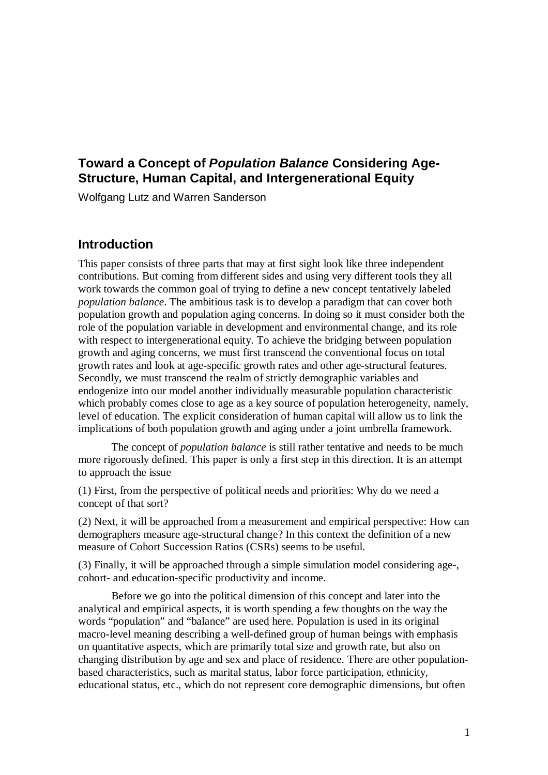# **Toward a Concept of** *Population Balance* **Considering Age-Structure, Human Capital, and Intergenerational Equity**

Wolfgang Lutz and Warren Sanderson

#### **Introduction**

This paper consists of three parts that may at first sight look like three independent contributions. But coming from different sides and using very different tools they all work towards the common goal of trying to define a new concept tentatively labeled *population balance*. The ambitious task is to develop a paradigm that can cover both population growth and population aging concerns. In doing so it must consider both the role of the population variable in development and environmental change, and its role with respect to intergenerational equity. To achieve the bridging between population growth and aging concerns, we must first transcend the conventional focus on total growth rates and look at age-specific growth rates and other age-structural features. Secondly, we must transcend the realm of strictly demographic variables and endogenize into our model another individually measurable population characteristic which probably comes close to age as a key source of population heterogeneity, namely, level of education. The explicit consideration of human capital will allow us to link the implications of both population growth and aging under a joint umbrella framework.

The concept of *population balance* is still rather tentative and needs to be much more rigorously defined. This paper is only a first step in this direction. It is an attempt to approach the issue

(1) First, from the perspective of political needs and priorities: Why do we need a concept of that sort?

(2) Next, it will be approached from a measurement and empirical perspective: How can demographers measure age-structural change? In this context the definition of a new measure of Cohort Succession Ratios (CSRs) seems to be useful.

(3) Finally, it will be approached through a simple simulation model considering age-, cohort- and education-specific productivity and income.

Before we go into the political dimension of this concept and later into the analytical and empirical aspects, it is worth spending a few thoughts on the way the words "population" and "balance" are used here. Population is used in its original macro-level meaning describing a well-defined group of human beings with emphasis on quantitative aspects, which are primarily total size and growth rate, but also on changing distribution by age and sex and place of residence. There are other populationbased characteristics, such as marital status, labor force participation, ethnicity, educational status, etc., which do not represent core demographic dimensions, but often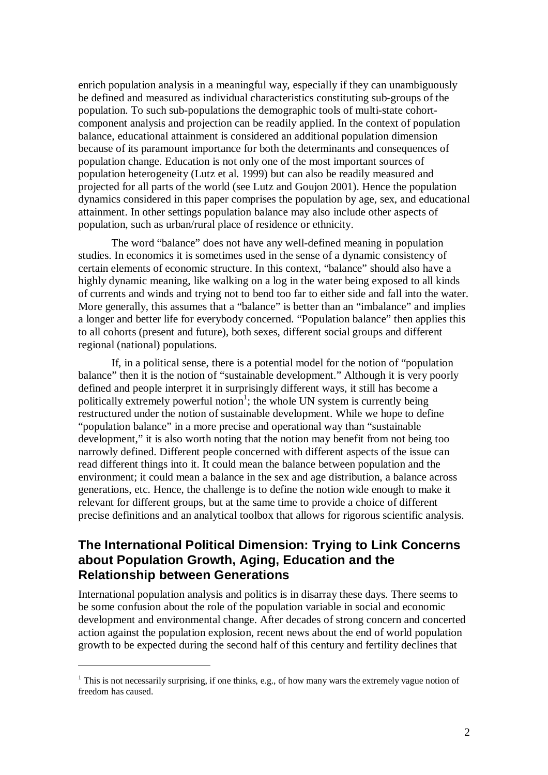enrich population analysis in a meaningful way, especially if they can unambiguously be defined and measured as individual characteristics constituting sub-groups of the population. To such sub-populations the demographic tools of multi-state cohortcomponent analysis and projection can be readily applied. In the context of population balance, educational attainment is considered an additional population dimension because of its paramount importance for both the determinants and consequences of population change. Education is not only one of the most important sources of population heterogeneity (Lutz et al. 1999) but can also be readily measured and projected for all parts of the world (see Lutz and Goujon 2001). Hence the population dynamics considered in this paper comprises the population by age, sex, and educational attainment. In other settings population balance may also include other aspects of population, such as urban/rural place of residence or ethnicity.

The word "balance" does not have any well-defined meaning in population studies. In economics it is sometimes used in the sense of a dynamic consistency of certain elements of economic structure. In this context, "balance" should also have a highly dynamic meaning, like walking on a log in the water being exposed to all kinds of currents and winds and trying not to bend too far to either side and fall into the water. More generally, this assumes that a "balance" is better than an "imbalance" and implies a longer and better life for everybody concerned. "Population balance" then applies this to all cohorts (present and future), both sexes, different social groups and different regional (national) populations.

If, in a political sense, there is a potential model for the notion of "population balance" then it is the notion of "sustainable development." Although it is very poorly defined and people interpret it in surprisingly different ways, it still has become a politically extremely powerful notion<sup>1</sup>; the whole UN system is currently being restructured under the notion of sustainable development. While we hope to define "population balance" in a more precise and operational way than "sustainable development," it is also worth noting that the notion may benefit from not being too narrowly defined. Different people concerned with different aspects of the issue can read different things into it. It could mean the balance between population and the environment; it could mean a balance in the sex and age distribution, a balance across generations, etc. Hence, the challenge is to define the notion wide enough to make it relevant for different groups, but at the same time to provide a choice of different precise definitions and an analytical toolbox that allows for rigorous scientific analysis.

# **The International Political Dimension: Trying to Link Concerns about Population Growth, Aging, Education and the Relationship between Generations**

International population analysis and politics is in disarray these days. There seems to be some confusion about the role of the population variable in social and economic development and environmental change. After decades of strong concern and concerted action against the population explosion, recent news about the end of world population growth to be expected during the second half of this century and fertility declines that

 $<sup>1</sup>$  This is not necessarily surprising, if one thinks, e.g., of how many wars the extremely vague notion of</sup> freedom has caused.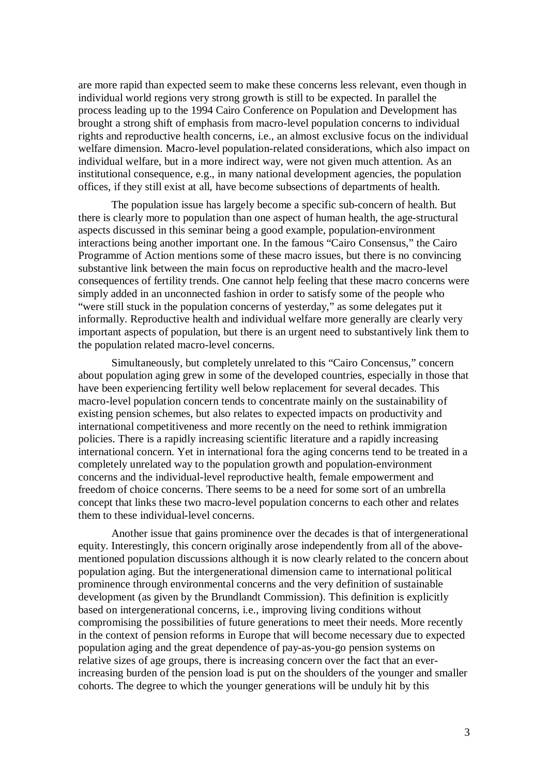are more rapid than expected seem to make these concerns less relevant, even though in individual world regions very strong growth is still to be expected. In parallel the process leading up to the 1994 Cairo Conference on Population and Development has brought a strong shift of emphasis from macro-level population concerns to individual rights and reproductive health concerns, i.e., an almost exclusive focus on the individual welfare dimension. Macro-level population-related considerations, which also impact on individual welfare, but in a more indirect way, were not given much attention. As an institutional consequence, e.g., in many national development agencies, the population offices, if they still exist at all, have become subsections of departments of health.

The population issue has largely become a specific sub-concern of health. But there is clearly more to population than one aspect of human health, the age-structural aspects discussed in this seminar being a good example, population-environment interactions being another important one. In the famous "Cairo Consensus," the Cairo Programme of Action mentions some of these macro issues, but there is no convincing substantive link between the main focus on reproductive health and the macro-level consequences of fertility trends. One cannot help feeling that these macro concerns were simply added in an unconnected fashion in order to satisfy some of the people who "were still stuck in the population concerns of yesterday," as some delegates put it informally. Reproductive health and individual welfare more generally are clearly very important aspects of population, but there is an urgent need to substantively link them to the population related macro-level concerns.

Simultaneously, but completely unrelated to this "Cairo Concensus," concern about population aging grew in some of the developed countries, especially in those that have been experiencing fertility well below replacement for several decades. This macro-level population concern tends to concentrate mainly on the sustainability of existing pension schemes, but also relates to expected impacts on productivity and international competitiveness and more recently on the need to rethink immigration policies. There is a rapidly increasing scientific literature and a rapidly increasing international concern. Yet in international fora the aging concerns tend to be treated in a completely unrelated way to the population growth and population-environment concerns and the individual-level reproductive health, female empowerment and freedom of choice concerns. There seems to be a need for some sort of an umbrella concept that links these two macro-level population concerns to each other and relates them to these individual-level concerns.

Another issue that gains prominence over the decades is that of intergenerational equity. Interestingly, this concern originally arose independently from all of the abovementioned population discussions although it is now clearly related to the concern about population aging. But the intergenerational dimension came to international political prominence through environmental concerns and the very definition of sustainable development (as given by the Brundlandt Commission). This definition is explicitly based on intergenerational concerns, i.e., improving living conditions without compromising the possibilities of future generations to meet their needs. More recently in the context of pension reforms in Europe that will become necessary due to expected population aging and the great dependence of pay-as-you-go pension systems on relative sizes of age groups, there is increasing concern over the fact that an everincreasing burden of the pension load is put on the shoulders of the younger and smaller cohorts. The degree to which the younger generations will be unduly hit by this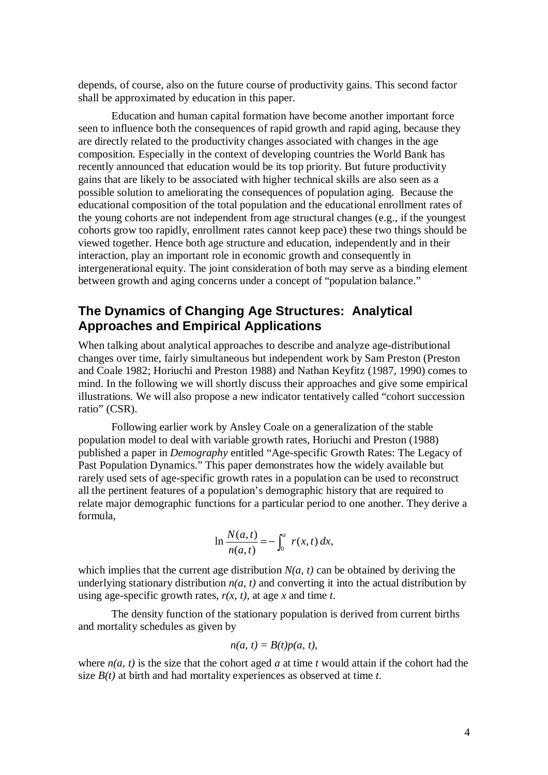depends, of course, also on the future course of productivity gains. This second factor shall be approximated by education in this paper.

Education and human capital formation have become another important force seen to influence both the consequences of rapid growth and rapid aging, because they are directly related to the productivity changes associated with changes in the age composition. Especially in the context of developing countries the World Bank has recently announced that education would be its top priority. But future productivity gains that are likely to be associated with higher technical skills are also seen as a possible solution to ameliorating the consequences of population aging. Because the educational composition of the total population and the educational enrollment rates of the young cohorts are not independent from age structural changes (e.g., if the youngest cohorts grow too rapidly, enrollment rates cannot keep pace) these two things should be viewed together. Hence both age structure and education, independently and in their interaction, play an important role in economic growth and consequently in intergenerational equity. The joint consideration of both may serve as a binding element between growth and aging concerns under a concept of "population balance."

# **The Dynamics of Changing Age Structures: Analytical Approaches and Empirical Applications**

When talking about analytical approaches to describe and analyze age-distributional changes over time, fairly simultaneous but independent work by Sam Preston (Preston and Coale 1982; Horiuchi and Preston 1988) and Nathan Keyfitz (1987, 1990) comes to mind. In the following we will shortly discuss their approaches and give some empirical illustrations. We will also propose a new indicator tentatively called "cohort succession ratio" (CSR).

Following earlier work by Ansley Coale on a generalization of the stable population model to deal with variable growth rates, Horiuchi and Preston (1988) published a paper in *Demography* entitled "Age-specific Growth Rates: The Legacy of Past Population Dynamics." This paper demonstrates how the widely available but rarely used sets of age-specific growth rates in a population can be used to reconstruct all the pertinent features of a population's demographic history that are required to relate major demographic functions for a particular period to one another. They derive a formula,

$$
\ln \frac{N(a,t)}{n(a,t)} = -\int_0^a r(x,t) dx,
$$

which implies that the current age distribution *N(a, t)* can be obtained by deriving the underlying stationary distribution  $n(a, t)$  and converting it into the actual distribution by using age-specific growth rates,  $r(x, t)$ , at age *x* and time *t*.

The density function of the stationary population is derived from current births and mortality schedules as given by

$$
n(a, t) = B(t)p(a, t),
$$

where  $n(a, t)$  is the size that the cohort aged *a* at time *t* would attain if the cohort had the size *B(t)* at birth and had mortality experiences as observed at time *t*.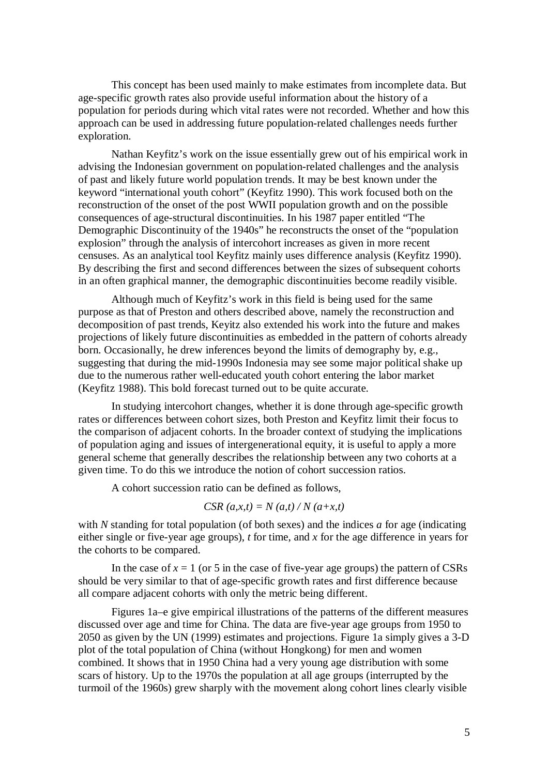This concept has been used mainly to make estimates from incomplete data. But age-specific growth rates also provide useful information about the history of a population for periods during which vital rates were not recorded. Whether and how this approach can be used in addressing future population-related challenges needs further exploration.

Nathan Keyfitz's work on the issue essentially grew out of his empirical work in advising the Indonesian government on population-related challenges and the analysis of past and likely future world population trends. It may be best known under the keyword "international youth cohort" (Keyfitz 1990). This work focused both on the reconstruction of the onset of the post WWII population growth and on the possible consequences of age-structural discontinuities. In his 1987 paper entitled "The Demographic Discontinuity of the 1940s" he reconstructs the onset of the "population explosion" through the analysis of intercohort increases as given in more recent censuses. As an analytical tool Keyfitz mainly uses difference analysis (Keyfitz 1990). By describing the first and second differences between the sizes of subsequent cohorts in an often graphical manner, the demographic discontinuities become readily visible.

Although much of Keyfitz's work in this field is being used for the same purpose as that of Preston and others described above, namely the reconstruction and decomposition of past trends, Keyitz also extended his work into the future and makes projections of likely future discontinuities as embedded in the pattern of cohorts already born. Occasionally, he drew inferences beyond the limits of demography by, e.g., suggesting that during the mid-1990s Indonesia may see some major political shake up due to the numerous rather well-educated youth cohort entering the labor market (Keyfitz 1988). This bold forecast turned out to be quite accurate.

In studying intercohort changes, whether it is done through age-specific growth rates or differences between cohort sizes, both Preston and Keyfitz limit their focus to the comparison of adjacent cohorts. In the broader context of studying the implications of population aging and issues of intergenerational equity, it is useful to apply a more general scheme that generally describes the relationship between any two cohorts at a given time. To do this we introduce the notion of cohort succession ratios.

A cohort succession ratio can be defined as follows,

$$
CSR\left( a,x,t\right) =N\left( a,t\right) /N\left( a+x,t\right)
$$

with *N* standing for total population (of both sexes) and the indices *a* for age (indicating either single or five-year age groups), *t* for time, and *x* for the age difference in years for the cohorts to be compared.

In the case of  $x = 1$  (or 5 in the case of five-year age groups) the pattern of CSRs should be very similar to that of age-specific growth rates and first difference because all compare adjacent cohorts with only the metric being different.

Figures 1a–e give empirical illustrations of the patterns of the different measures discussed over age and time for China. The data are five-year age groups from 1950 to 2050 as given by the UN (1999) estimates and projections. Figure 1a simply gives a 3-D plot of the total population of China (without Hongkong) for men and women combined. It shows that in 1950 China had a very young age distribution with some scars of history. Up to the 1970s the population at all age groups (interrupted by the turmoil of the 1960s) grew sharply with the movement along cohort lines clearly visible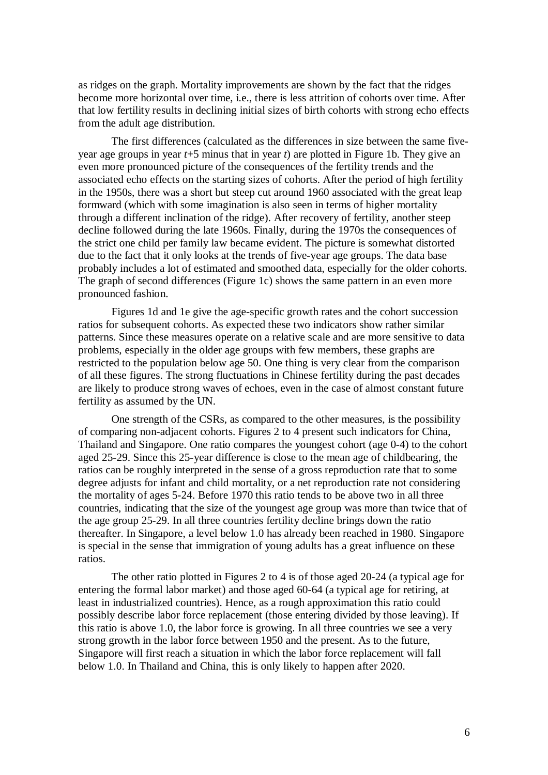as ridges on the graph. Mortality improvements are shown by the fact that the ridges become more horizontal over time, i.e., there is less attrition of cohorts over time. After that low fertility results in declining initial sizes of birth cohorts with strong echo effects from the adult age distribution.

The first differences (calculated as the differences in size between the same fiveyear age groups in year *t*+5 minus that in year *t*) are plotted in Figure 1b. They give an even more pronounced picture of the consequences of the fertility trends and the associated echo effects on the starting sizes of cohorts. After the period of high fertility in the 1950s, there was a short but steep cut around 1960 associated with the great leap formward (which with some imagination is also seen in terms of higher mortality through a different inclination of the ridge). After recovery of fertility, another steep decline followed during the late 1960s. Finally, during the 1970s the consequences of the strict one child per family law became evident. The picture is somewhat distorted due to the fact that it only looks at the trends of five-year age groups. The data base probably includes a lot of estimated and smoothed data, especially for the older cohorts. The graph of second differences (Figure 1c) shows the same pattern in an even more pronounced fashion.

Figures 1d and 1e give the age-specific growth rates and the cohort succession ratios for subsequent cohorts. As expected these two indicators show rather similar patterns. Since these measures operate on a relative scale and are more sensitive to data problems, especially in the older age groups with few members, these graphs are restricted to the population below age 50. One thing is very clear from the comparison of all these figures. The strong fluctuations in Chinese fertility during the past decades are likely to produce strong waves of echoes, even in the case of almost constant future fertility as assumed by the UN.

One strength of the CSRs, as compared to the other measures, is the possibility of comparing non-adjacent cohorts. Figures 2 to 4 present such indicators for China, Thailand and Singapore. One ratio compares the youngest cohort (age 0-4) to the cohort aged 25-29. Since this 25-year difference is close to the mean age of childbearing, the ratios can be roughly interpreted in the sense of a gross reproduction rate that to some degree adjusts for infant and child mortality, or a net reproduction rate not considering the mortality of ages 5-24. Before 1970 this ratio tends to be above two in all three countries, indicating that the size of the youngest age group was more than twice that of the age group 25-29. In all three countries fertility decline brings down the ratio thereafter. In Singapore, a level below 1.0 has already been reached in 1980. Singapore is special in the sense that immigration of young adults has a great influence on these ratios.

The other ratio plotted in Figures 2 to 4 is of those aged 20-24 (a typical age for entering the formal labor market) and those aged 60-64 (a typical age for retiring, at least in industrialized countries). Hence, as a rough approximation this ratio could possibly describe labor force replacement (those entering divided by those leaving). If this ratio is above 1.0, the labor force is growing. In all three countries we see a very strong growth in the labor force between 1950 and the present. As to the future, Singapore will first reach a situation in which the labor force replacement will fall below 1.0. In Thailand and China, this is only likely to happen after 2020.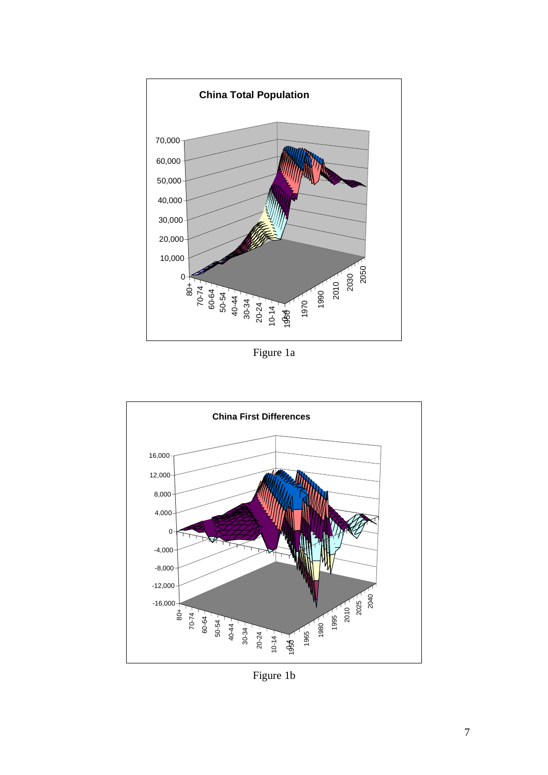

Figure 1a



Figure 1b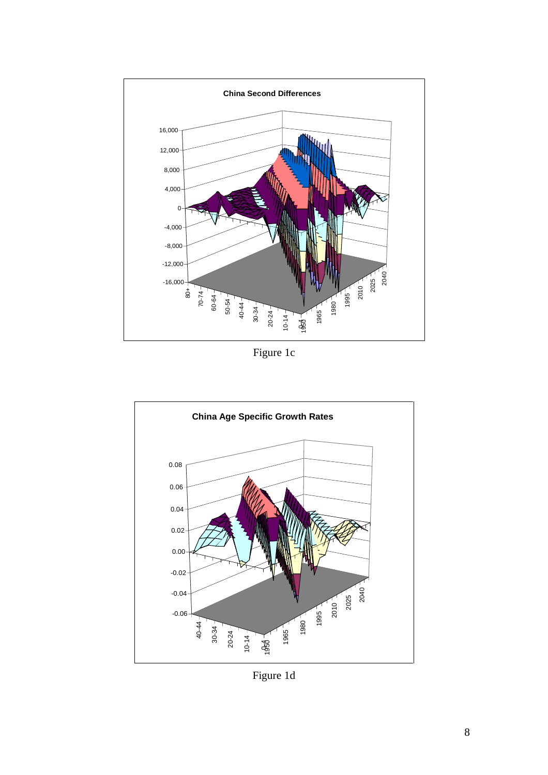

Figure 1c



Figure 1d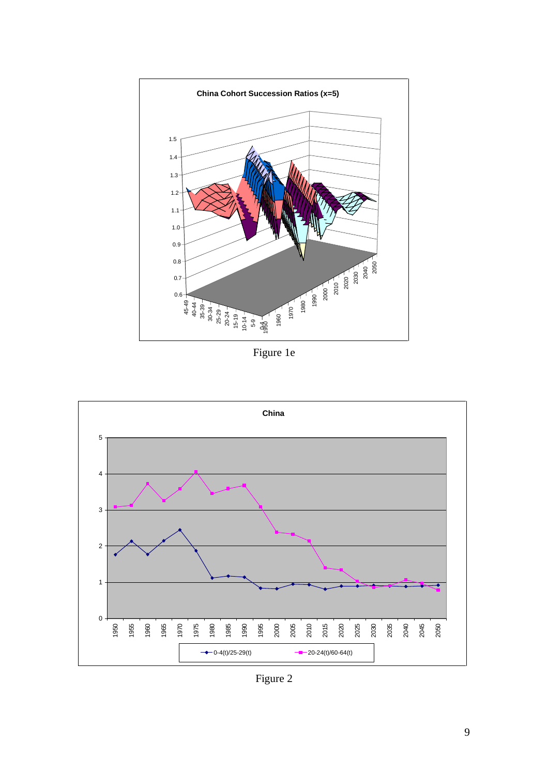

Figure 1e



Figure 2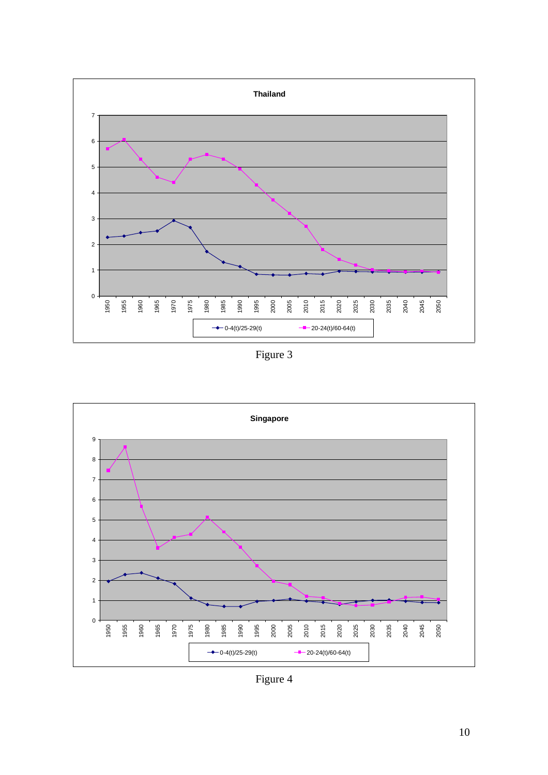

Figure 3



Figure 4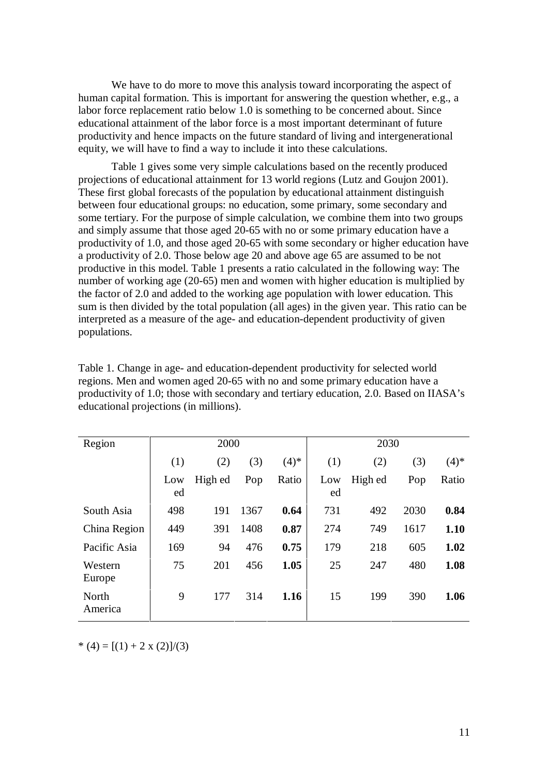We have to do more to move this analysis toward incorporating the aspect of human capital formation. This is important for answering the question whether, e.g., a labor force replacement ratio below 1.0 is something to be concerned about. Since educational attainment of the labor force is a most important determinant of future productivity and hence impacts on the future standard of living and intergenerational equity, we will have to find a way to include it into these calculations.

Table 1 gives some very simple calculations based on the recently produced projections of educational attainment for 13 world regions (Lutz and Goujon 2001). These first global forecasts of the population by educational attainment distinguish between four educational groups: no education, some primary, some secondary and some tertiary. For the purpose of simple calculation, we combine them into two groups and simply assume that those aged 20-65 with no or some primary education have a productivity of 1.0, and those aged 20-65 with some secondary or higher education have a productivity of 2.0. Those below age 20 and above age 65 are assumed to be not productive in this model. Table 1 presents a ratio calculated in the following way: The number of working age (20-65) men and women with higher education is multiplied by the factor of 2.0 and added to the working age population with lower education. This sum is then divided by the total population (all ages) in the given year. This ratio can be interpreted as a measure of the age- and education-dependent productivity of given populations.

Table 1. Change in age- and education-dependent productivity for selected world regions. Men and women aged 20-65 with no and some primary education have a productivity of 1.0; those with secondary and tertiary education, 2.0. Based on IIASA's educational projections (in millions).

| Region            | 2000      |         |      |         | 2030      |         |      |           |
|-------------------|-----------|---------|------|---------|-----------|---------|------|-----------|
|                   | (1)       | (2)     | (3)  | $(4)$ * | (1)       | (2)     | (3)  | $(4)^{*}$ |
|                   | Low<br>ed | High ed | Pop  | Ratio   | Low<br>ed | High ed | Pop  | Ratio     |
| South Asia        | 498       | 191     | 1367 | 0.64    | 731       | 492     | 2030 | 0.84      |
| China Region      | 449       | 391     | 1408 | 0.87    | 274       | 749     | 1617 | 1.10      |
| Pacific Asia      | 169       | 94      | 476  | 0.75    | 179       | 218     | 605  | 1.02      |
| Western<br>Europe | 75        | 201     | 456  | 1.05    | 25        | 247     | 480  | 1.08      |
| North<br>America  | 9         | 177     | 314  | 1.16    | 15        | 199     | 390  | 1.06      |

\* (4) =  $[(1) + 2 \times (2)]/(3)$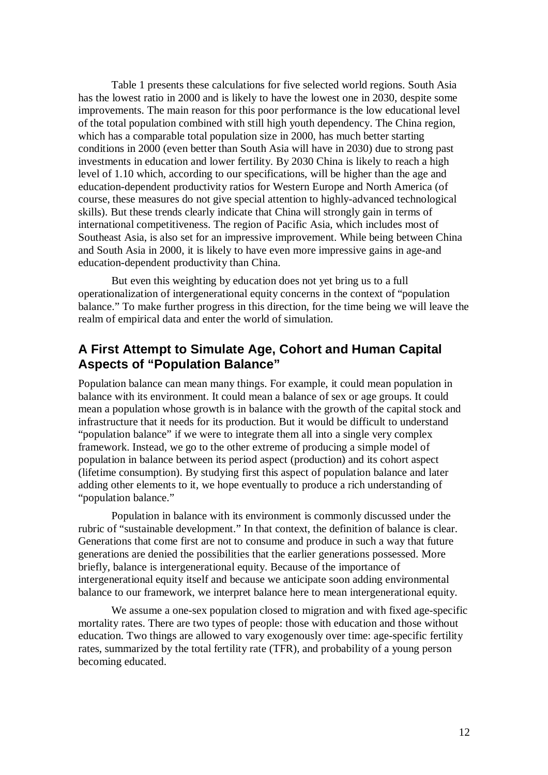Table 1 presents these calculations for five selected world regions. South Asia has the lowest ratio in 2000 and is likely to have the lowest one in 2030, despite some improvements. The main reason for this poor performance is the low educational level of the total population combined with still high youth dependency. The China region, which has a comparable total population size in 2000, has much better starting conditions in 2000 (even better than South Asia will have in 2030) due to strong past investments in education and lower fertility. By 2030 China is likely to reach a high level of 1.10 which, according to our specifications, will be higher than the age and education-dependent productivity ratios for Western Europe and North America (of course, these measures do not give special attention to highly-advanced technological skills). But these trends clearly indicate that China will strongly gain in terms of international competitiveness. The region of Pacific Asia, which includes most of Southeast Asia, is also set for an impressive improvement. While being between China and South Asia in 2000, it is likely to have even more impressive gains in age-and education-dependent productivity than China.

But even this weighting by education does not yet bring us to a full operationalization of intergenerational equity concerns in the context of "population balance." To make further progress in this direction, for the time being we will leave the realm of empirical data and enter the world of simulation.

# **A First Attempt to Simulate Age, Cohort and Human Capital Aspects of "Population Balance"**

Population balance can mean many things. For example, it could mean population in balance with its environment. It could mean a balance of sex or age groups. It could mean a population whose growth is in balance with the growth of the capital stock and infrastructure that it needs for its production. But it would be difficult to understand "population balance" if we were to integrate them all into a single very complex framework. Instead, we go to the other extreme of producing a simple model of population in balance between its period aspect (production) and its cohort aspect (lifetime consumption). By studying first this aspect of population balance and later adding other elements to it, we hope eventually to produce a rich understanding of "population balance."

Population in balance with its environment is commonly discussed under the rubric of "sustainable development." In that context, the definition of balance is clear. Generations that come first are not to consume and produce in such a way that future generations are denied the possibilities that the earlier generations possessed. More briefly, balance is intergenerational equity. Because of the importance of intergenerational equity itself and because we anticipate soon adding environmental balance to our framework, we interpret balance here to mean intergenerational equity.

We assume a one-sex population closed to migration and with fixed age-specific mortality rates. There are two types of people: those with education and those without education. Two things are allowed to vary exogenously over time: age-specific fertility rates, summarized by the total fertility rate (TFR), and probability of a young person becoming educated.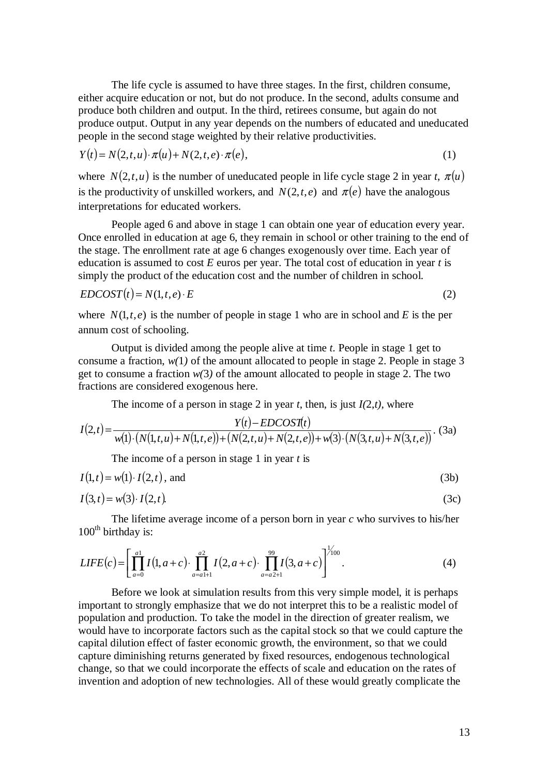The life cycle is assumed to have three stages. In the first, children consume, either acquire education or not, but do not produce. In the second, adults consume and produce both children and output. In the third, retirees consume, but again do not produce output. Output in any year depends on the numbers of educated and uneducated people in the second stage weighted by their relative productivities.

$$
Y(t) = N(2, t, u) \cdot \pi(u) + N(2, t, e) \cdot \pi(e), \qquad (1)
$$

where  $N(2,t,u)$  is the number of uneducated people in life cycle stage 2 in year *t*,  $\pi(u)$ is the productivity of unskilled workers, and  $N(2,t,e)$  and  $\pi(e)$  have the analogous interpretations for educated workers.

People aged 6 and above in stage 1 can obtain one year of education every year. Once enrolled in education at age 6, they remain in school or other training to the end of the stage. The enrollment rate at age 6 changes exogenously over time. Each year of education is assumed to cost *E* euros per year. The total cost of education in year *t* is simply the product of the education cost and the number of children in school.

$$
EDCOST(t) = N(1, t, e) \cdot E \tag{2}
$$

where  $N(1,t,e)$  is the number of people in stage 1 who are in school and  $E$  is the per annum cost of schooling.

Output is divided among the people alive at time *t*. People in stage 1 get to consume a fraction, *w(*1*)* of the amount allocated to people in stage 2. People in stage 3 get to consume a fraction  $w(3)$  of the amount allocated to people in stage 2. The two fractions are considered exogenous here.

The income of a person in stage 2 in year *t*, then, is just  $I(2,t)$ , where

$$
I(2,t) = \frac{Y(t) - EDCOST(t)}{w(1) \cdot (N(1,t,u) + N(1,t,e)) + (N(2,t,u) + N(2,t,e)) + w(3) \cdot (N(3,t,u) + N(3,t,e))}.
$$
(3a)

The income of a person in stage 1 in year *t* is

$$
I(1,t) = w(1) \cdot I(2,t), \text{ and} \tag{3b}
$$

$$
I(3,t) = w(3) \cdot I(2,t).
$$
 (3c)

The lifetime average income of a person born in year *c* who survives to his/her  $100<sup>th</sup>$  birthday is:

$$
LIFE(c) = \left[ \prod_{a=0}^{a} I(1, a+c) \cdot \prod_{a=a+1}^{a} I(2, a+c) \cdot \prod_{a=a+1}^{99} I(3, a+c) \right]^{1/100}.
$$
 (4)

Before we look at simulation results from this very simple model, it is perhaps important to strongly emphasize that we do not interpret this to be a realistic model of population and production. To take the model in the direction of greater realism, we would have to incorporate factors such as the capital stock so that we could capture the capital dilution effect of faster economic growth, the environment, so that we could capture diminishing returns generated by fixed resources, endogenous technological change, so that we could incorporate the effects of scale and education on the rates of invention and adoption of new technologies. All of these would greatly complicate the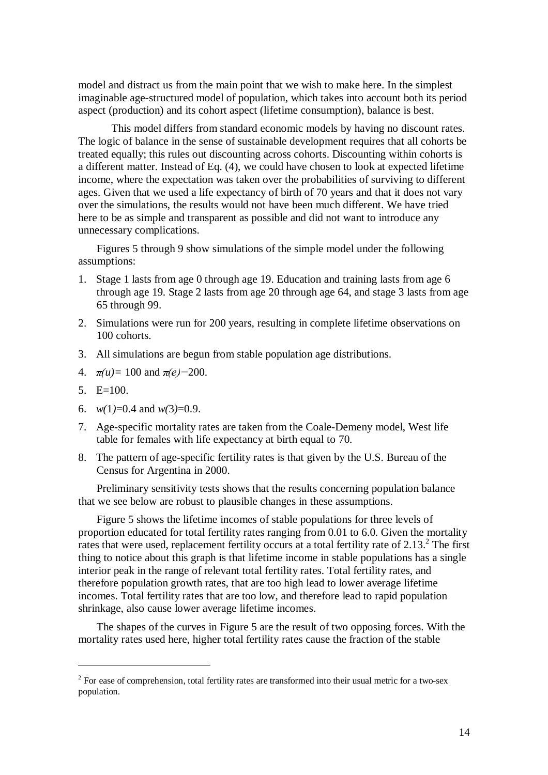model and distract us from the main point that we wish to make here. In the simplest imaginable age-structured model of population, which takes into account both its period aspect (production) and its cohort aspect (lifetime consumption), balance is best.

This model differs from standard economic models by having no discount rates. The logic of balance in the sense of sustainable development requires that all cohorts be treated equally; this rules out discounting across cohorts. Discounting within cohorts is a different matter. Instead of Eq. (4), we could have chosen to look at expected lifetime income, where the expectation was taken over the probabilities of surviving to different ages. Given that we used a life expectancy of birth of 70 years and that it does not vary over the simulations, the results would not have been much different. We have tried here to be as simple and transparent as possible and did not want to introduce any unnecessary complications.

Figures 5 through 9 show simulations of the simple model under the following assumptions:

- 1. Stage 1 lasts from age 0 through age 19. Education and training lasts from age 6 through age 19. Stage 2 lasts from age 20 through age 64, and stage 3 lasts from age 65 through 99.
- 2. Simulations were run for 200 years, resulting in complete lifetime observations on 100 cohorts.
- 3. All simulations are begun from stable population age distributions.
- 4.  $\pi(u) = 100$  and  $\pi(e) = 200$ .
- $5. E=100.$

- 6.  $w(1)=0.4$  and  $w(3)=0.9$ .
- 7. Age-specific mortality rates are taken from the Coale-Demeny model, West life table for females with life expectancy at birth equal to 70.
- 8. The pattern of age-specific fertility rates is that given by the U.S. Bureau of the Census for Argentina in 2000.

Preliminary sensitivity tests shows that the results concerning population balance that we see below are robust to plausible changes in these assumptions.

Figure 5 shows the lifetime incomes of stable populations for three levels of proportion educated for total fertility rates ranging from 0.01 to 6.0. Given the mortality rates that were used, replacement fertility occurs at a total fertility rate of 2.13. $^{2}$  The first thing to notice about this graph is that lifetime income in stable populations has a single interior peak in the range of relevant total fertility rates. Total fertility rates, and therefore population growth rates, that are too high lead to lower average lifetime incomes. Total fertility rates that are too low, and therefore lead to rapid population shrinkage, also cause lower average lifetime incomes.

The shapes of the curves in Figure 5 are the result of two opposing forces. With the mortality rates used here, higher total fertility rates cause the fraction of the stable

 $2^{2}$  For ease of comprehension, total fertility rates are transformed into their usual metric for a two-sex population.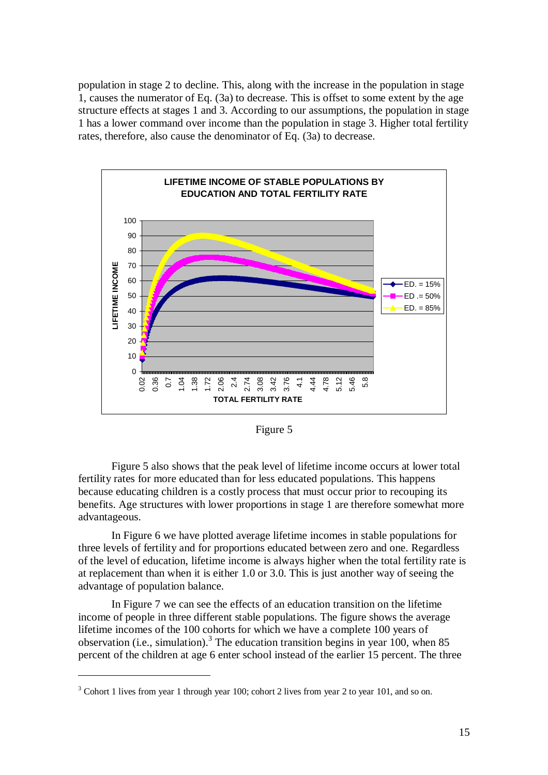population in stage 2 to decline. This, along with the increase in the population in stage 1, causes the numerator of Eq. (3a) to decrease. This is offset to some extent by the age structure effects at stages 1 and 3. According to our assumptions, the population in stage 1 has a lower command over income than the population in stage 3. Higher total fertility rates, therefore, also cause the denominator of Eq. (3a) to decrease.



Figure 5

Figure 5 also shows that the peak level of lifetime income occurs at lower total fertility rates for more educated than for less educated populations. This happens because educating children is a costly process that must occur prior to recouping its benefits. Age structures with lower proportions in stage 1 are therefore somewhat more advantageous.

In Figure 6 we have plotted average lifetime incomes in stable populations for three levels of fertility and for proportions educated between zero and one. Regardless of the level of education, lifetime income is always higher when the total fertility rate is at replacement than when it is either 1.0 or 3.0. This is just another way of seeing the advantage of population balance.

In Figure 7 we can see the effects of an education transition on the lifetime income of people in three different stable populations. The figure shows the average lifetime incomes of the 100 cohorts for which we have a complete 100 years of observation (i.e., simulation).<sup>3</sup> The education transition begins in year 100, when  $85$ percent of the children at age 6 enter school instead of the earlier 15 percent. The three

 $3$  Cohort 1 lives from year 1 through year 100; cohort 2 lives from year 2 to year 101, and so on.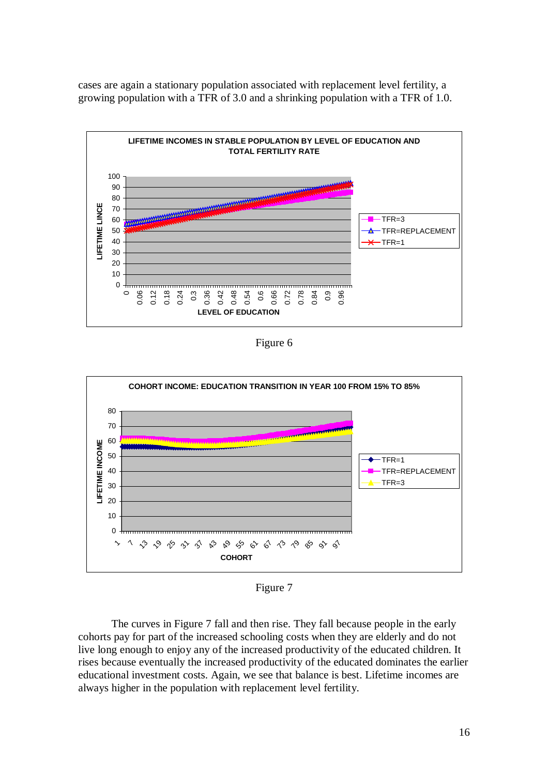cases are again a stationary population associated with replacement level fertility, a growing population with a TFR of 3.0 and a shrinking population with a TFR of 1.0.



Figure 6



Figure 7

The curves in Figure 7 fall and then rise. They fall because people in the early cohorts pay for part of the increased schooling costs when they are elderly and do not live long enough to enjoy any of the increased productivity of the educated children. It rises because eventually the increased productivity of the educated dominates the earlier educational investment costs. Again, we see that balance is best. Lifetime incomes are always higher in the population with replacement level fertility.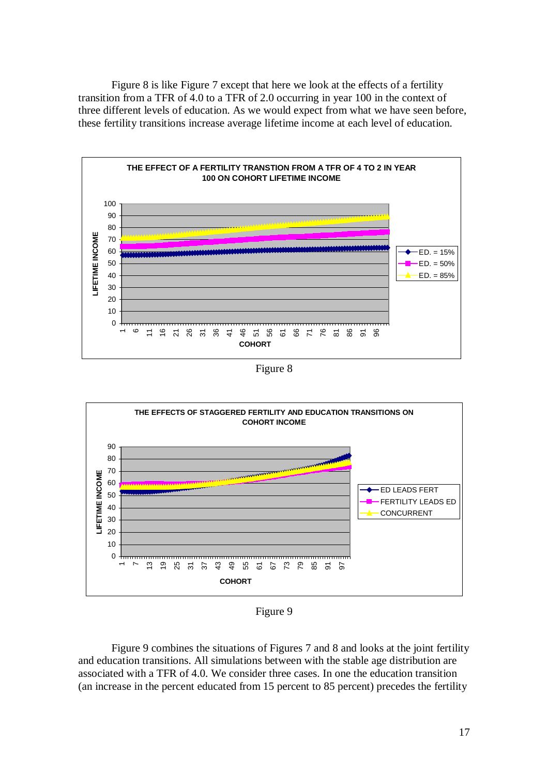Figure 8 is like Figure 7 except that here we look at the effects of a fertility transition from a TFR of 4.0 to a TFR of 2.0 occurring in year 100 in the context of three different levels of education. As we would expect from what we have seen before, these fertility transitions increase average lifetime income at each level of education.



Figure 8



Figure 9

Figure 9 combines the situations of Figures 7 and 8 and looks at the joint fertility and education transitions. All simulations between with the stable age distribution are associated with a TFR of 4.0. We consider three cases. In one the education transition (an increase in the percent educated from 15 percent to 85 percent) precedes the fertility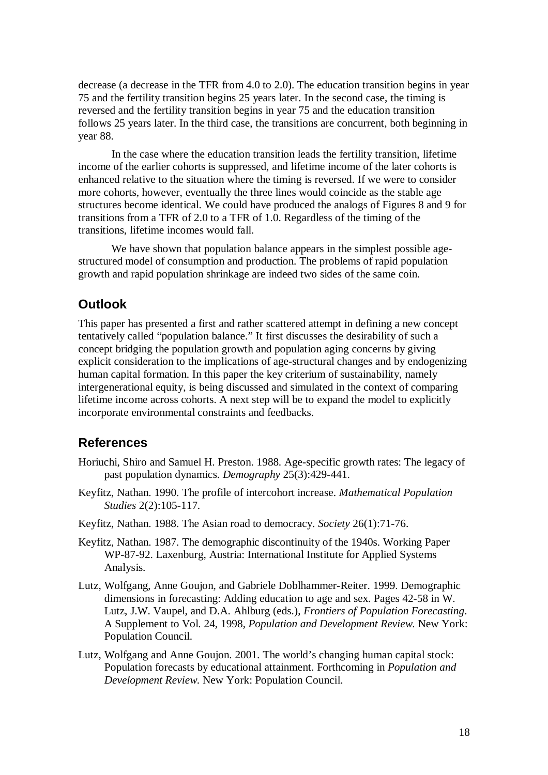decrease (a decrease in the TFR from 4.0 to 2.0). The education transition begins in year 75 and the fertility transition begins 25 years later. In the second case, the timing is reversed and the fertility transition begins in year 75 and the education transition follows 25 years later. In the third case, the transitions are concurrent, both beginning in year 88.

In the case where the education transition leads the fertility transition, lifetime income of the earlier cohorts is suppressed, and lifetime income of the later cohorts is enhanced relative to the situation where the timing is reversed. If we were to consider more cohorts, however, eventually the three lines would coincide as the stable age structures become identical. We could have produced the analogs of Figures 8 and 9 for transitions from a TFR of 2.0 to a TFR of 1.0. Regardless of the timing of the transitions, lifetime incomes would fall.

We have shown that population balance appears in the simplest possible agestructured model of consumption and production. The problems of rapid population growth and rapid population shrinkage are indeed two sides of the same coin.

## **Outlook**

This paper has presented a first and rather scattered attempt in defining a new concept tentatively called "population balance." It first discusses the desirability of such a concept bridging the population growth and population aging concerns by giving explicit consideration to the implications of age-structural changes and by endogenizing human capital formation. In this paper the key criterium of sustainability, namely intergenerational equity, is being discussed and simulated in the context of comparing lifetime income across cohorts. A next step will be to expand the model to explicitly incorporate environmental constraints and feedbacks.

### **References**

- Horiuchi, Shiro and Samuel H. Preston. 1988. Age-specific growth rates: The legacy of past population dynamics. *Demography* 25(3):429-441.
- Keyfitz, Nathan. 1990. The profile of intercohort increase. *Mathematical Population Studies* 2(2):105-117.
- Keyfitz, Nathan. 1988. The Asian road to democracy. *Society* 26(1):71-76.
- Keyfitz, Nathan. 1987. The demographic discontinuity of the 1940s. Working Paper WP-87-92. Laxenburg, Austria: International Institute for Applied Systems Analysis.
- Lutz, Wolfgang, Anne Goujon, and Gabriele Doblhammer-Reiter. 1999. Demographic dimensions in forecasting: Adding education to age and sex. Pages 42-58 in W. Lutz, J.W. Vaupel, and D.A. Ahlburg (eds.), *Frontiers of Population Forecasting*. A Supplement to Vol. 24, 1998, *Population and Development Review*. New York: Population Council.
- Lutz, Wolfgang and Anne Goujon. 2001. The world's changing human capital stock: Population forecasts by educational attainment. Forthcoming in *Population and Development Review*. New York: Population Council.